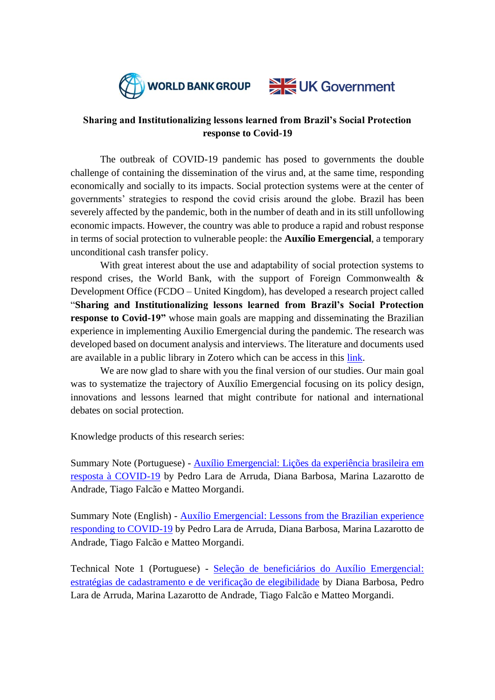



## **Sharing and Institutionalizing lessons learned from Brazil's Social Protection response to Covid-19**

The outbreak of COVID-19 pandemic has posed to governments the double challenge of containing the dissemination of the virus and, at the same time, responding economically and socially to its impacts. Social protection systems were at the center of governments' strategies to respond the covid crisis around the globe. Brazil has been severely affected by the pandemic, both in the number of death and in its still unfollowing economic impacts. However, the country was able to produce a rapid and robust response in terms of social protection to vulnerable people: the **Auxílio Emergencial**, a temporary unconditional cash transfer policy.

With great interest about the use and adaptability of social protection systems to respond crises, the World Bank, with the support of Foreign Commonwealth & Development Office (FCDO – United Kingdom), has developed a research project called "**Sharing and Institutionalizing lessons learned from Brazil's Social Protection response to Covid-19"** whose main goals are mapping and disseminating the Brazilian experience in implementing Auxilio Emergencial during the pandemic. The research was developed based on document analysis and interviews. The literature and documents used are available in a public library in Zotero which can be access in this [link.](https://www.zotero.org/groups/4504692/auxlio_emergencial_library_for_public_access_world_bank_project/library)

We are now glad to share with you the final version of our studies. Our main goal was to systematize the trajectory of Auxílio Emergencial focusing on its policy design, innovations and lessons learned that might contribute for national and international debates on social protection.

Knowledge products of this research series:

Summary Note (Portuguese) - [Auxílio Emergencial: Lições da experiência brasileira em](https://documents.worldbank.org/en/publication/documents-reports/documentdetail/099205012022128987/p174836-efc96ac2-ab7d-4a6e-9b02-cf56c8465c9b.pdf)  [resposta à COVID-19](https://documents.worldbank.org/en/publication/documents-reports/documentdetail/099205012022128987/p174836-efc96ac2-ab7d-4a6e-9b02-cf56c8465c9b.pdf) by Pedro Lara de Arruda, Diana Barbosa, Marina Lazarotto de Andrade, Tiago Falcão e Matteo Morgandi.

Summary Note (English) - [Auxílio Emergencial: Lessons from the Brazilian experience](https://documents.worldbank.org/en/publication/documents-reports/documentdetail/099255012142121495/p1748361b302ee5718913146b11956610692e4faf5bc)  [responding to COVID-19](https://documents.worldbank.org/en/publication/documents-reports/documentdetail/099255012142121495/p1748361b302ee5718913146b11956610692e4faf5bc) by Pedro Lara de Arruda, Diana Barbosa, Marina Lazarotto de Andrade, Tiago Falcão e Matteo Morgandi.

Technical Note 1 (Portuguese) - [Seleção de beneficiários do Auxílio Emergencial:](https://documents.worldbank.org/en/publication/documents-reports/documentdetail/099205012022129463/p17483606c29c50ca082ea081e5891caba3)  [estratégias de cadastramento e de verificação de elegibilidade](https://documents.worldbank.org/en/publication/documents-reports/documentdetail/099205012022129463/p17483606c29c50ca082ea081e5891caba3) by Diana Barbosa, Pedro Lara de Arruda, Marina Lazarotto de Andrade, Tiago Falcão e Matteo Morgandi.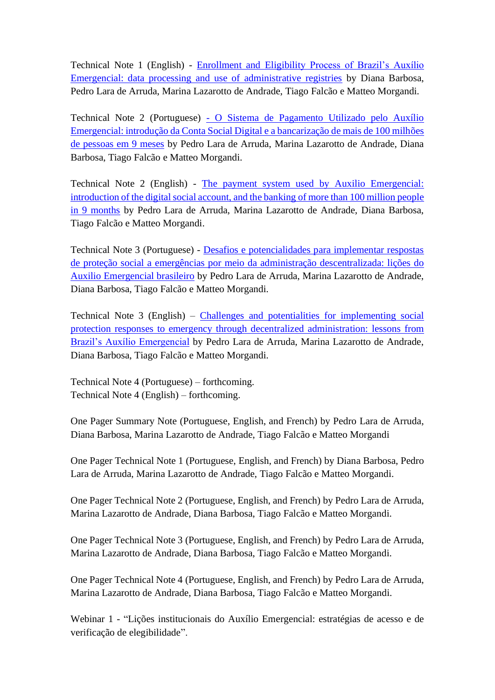Technical Note 1 (English) - [Enrollment and Eligibility Process of Brazil's Auxílio](https://documents.worldbank.org/en/publication/documents-reports/documentdetail/099255012142136232/p1748360d7131402e086730fbce1d687fa1)  [Emergencial: data processing and use of administrative registries](https://documents.worldbank.org/en/publication/documents-reports/documentdetail/099255012142136232/p1748360d7131402e086730fbce1d687fa1) by Diana Barbosa, Pedro Lara de Arruda, Marina Lazarotto de Andrade, Tiago Falcão e Matteo Morgandi.

Technical Note 2 (Portuguese) - [O Sistema de Pagamento Utilizado pelo Auxílio](https://documents.worldbank.org/en/publication/documents-reports/documentdetail/099320012212176885/p1748360101db2002096ab0160384f7483f)  [Emergencial: introdução da Conta Social Digital e a bancarização de mais de 100 milhões](https://documents.worldbank.org/en/publication/documents-reports/documentdetail/099320012212176885/p1748360101db2002096ab0160384f7483f)  [de pessoas em 9 meses](https://documents.worldbank.org/en/publication/documents-reports/documentdetail/099320012212176885/p1748360101db2002096ab0160384f7483f) by Pedro Lara de Arruda, Marina Lazarotto de Andrade, Diana Barbosa, Tiago Falcão e Matteo Morgandi.

Technical Note 2 (English) - [The payment system used by Auxilio Emergencial:](https://documents.worldbank.org/en/publication/documents-reports/documentdetail/099220001172241336/p17483605a26c50ed08d8308704d9b317a1)  [introduction of the digital social account, and the banking](https://documents.worldbank.org/en/publication/documents-reports/documentdetail/099220001172241336/p17483605a26c50ed08d8308704d9b317a1) of more than 100 million people [in 9 months](https://documents.worldbank.org/en/publication/documents-reports/documentdetail/099220001172241336/p17483605a26c50ed08d8308704d9b317a1) by Pedro Lara de Arruda, Marina Lazarotto de Andrade, Diana Barbosa, Tiago Falcão e Matteo Morgandi.

Technical Note 3 (Portuguese) - [Desafios e potencialidades para implementar respostas](https://documents.worldbank.org/en/publication/documents-reports/documentdetail/099330001202232813/p1748360e0114f0570a5810c0d6656e678e)  [de proteção social a emergências por meio da administração descentralizada: lições do](https://documents.worldbank.org/en/publication/documents-reports/documentdetail/099330001202232813/p1748360e0114f0570a5810c0d6656e678e)  [Auxilio Emergencial brasileiro](https://documents.worldbank.org/en/publication/documents-reports/documentdetail/099330001202232813/p1748360e0114f0570a5810c0d6656e678e) by Pedro Lara de Arruda, Marina Lazarotto de Andrade, Diana Barbosa, Tiago Falcão e Matteo Morgandi.

Technical Note 3 (English) – [Challenges and potentialities for implementing social](https://documents.worldbank.org/en/publication/documents-reports/documentdetail/099220101172240554/p17483609702e30c90b70f0a0d69d378aed)  [protection responses to emergency through decentralized administration: lessons from](https://documents.worldbank.org/en/publication/documents-reports/documentdetail/099220101172240554/p17483609702e30c90b70f0a0d69d378aed)  [Brazil's Auxílio Emergencial](https://documents.worldbank.org/en/publication/documents-reports/documentdetail/099220101172240554/p17483609702e30c90b70f0a0d69d378aed) by Pedro Lara de Arruda, Marina Lazarotto de Andrade, Diana Barbosa, Tiago Falcão e Matteo Morgandi.

Technical Note 4 (Portuguese) – forthcoming. Technical Note 4 (English) – forthcoming.

One Pager Summary Note (Portuguese, English, and French) by Pedro Lara de Arruda, Diana Barbosa, Marina Lazarotto de Andrade, Tiago Falcão e Matteo Morgandi

One Pager Technical Note 1 (Portuguese, English, and French) by Diana Barbosa, Pedro Lara de Arruda, Marina Lazarotto de Andrade, Tiago Falcão e Matteo Morgandi.

One Pager Technical Note 2 (Portuguese, English, and French) by Pedro Lara de Arruda, Marina Lazarotto de Andrade, Diana Barbosa, Tiago Falcão e Matteo Morgandi.

One Pager Technical Note 3 (Portuguese, English, and French) by Pedro Lara de Arruda, Marina Lazarotto de Andrade, Diana Barbosa, Tiago Falcão e Matteo Morgandi.

One Pager Technical Note 4 (Portuguese, English, and French) by Pedro Lara de Arruda, Marina Lazarotto de Andrade, Diana Barbosa, Tiago Falcão e Matteo Morgandi.

Webinar 1 - "Lições institucionais do Auxílio Emergencial: estratégias de acesso e de verificação de elegibilidade".